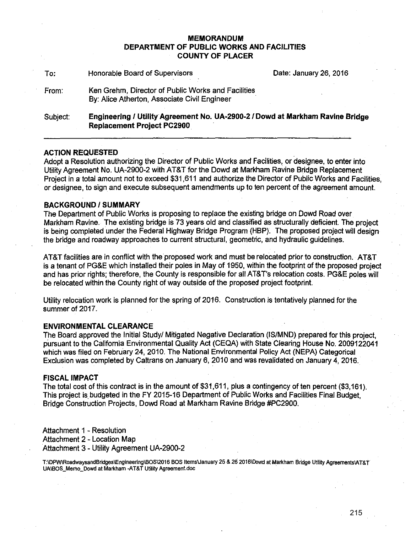### **MEMORANDUM DEPARTMENT OF PUBLIC WORKS AND FACILITIES COUNTY OF PLACER**

| To:      | Honorable Board of Supervisors                                                                                     | Date: January 26, 2016 |
|----------|--------------------------------------------------------------------------------------------------------------------|------------------------|
| From:    | Ken Grehm, Director of Public Works and Facilities<br>By: Alice Atherton, Associate Civil Engineer                 |                        |
| Subject: | Engineering / Utility Agreement No. UA-2900-2 / Dowd at Markham Ravine Bridge<br><b>Replacement Project PC2900</b> |                        |

### **ACTION REQUESTED** .

Adopt a Resolution authorizing the Director of Public Works and Facilities, or designee, to enter into Utility Agreement No. UA-2900·2 with AT&T for the Dowd at Markham Ravine Bridge Replacement Project in a total amount not to exceed \$31,611 and authorize the Director of Public Works and Facilities, or designee, to sign and execute subsequent amendments up to ten percent of the agreement amount.

### **BACKGROUND/SUMMARY**

The Department of Public Works is proposing to replace the existing bridge on Dowd Road over Markham Ravine. The existing bridge is 73 years old and classified as structurally deficient. The project is being completed under the Federal Highway Bridge Program (HBP). The proposed project will design the bridge and roadway approaches to current structural, geometric, and hydraulic guidelines.

AT&T facilities are in conflict with the proposed work and must be relocated prior to construction. AT&T is a tenant of PG&E which installed their poles in May of 1950, within the footprint of the proposed project and has prior rights; therefore, the County is responsible for all AT&T's relocation costs. PG&E poles will be relocated within the County right of way outside of the proposed project footprint.

Utility relocation work is planned for the spring of 2016. Construction is tentatively planned for the summer of 2017.

### **ENVIRONMENTAL CLEARANCE**

The Board approved the Initial Study/ Mitigated Negative Declaration (IS/MND) prepared for this project, pursuant to the California Environmental Quality Act (CEQA) with State Clearing House No. 2009122041 which was filed on February 24, 2010. The National Environmental Policy Act (NEPA) Categorical Exclusion was completed by Caltrans on January 6, 2010 and was revalidated on January 4, 2016.

### **FISCAL IMPACT**

The total cost of this contract is in the amount of \$31,611, plus a contingency of ten percent (\$3, 161). This project isbudgeted in the FY 2015-16 Department of Public Works and Facilities Final Budget, Bridge Construction Projects, Dowd Road at Markham Ravine Bridge #PC2900.

Attachment 1 - Resolution Attachment 2 - Location Map Attachment 3 - Utility Agreement UA-2900-2

T:\DPW\RoadwaysandBridges\Engineenng\BOS\2016 BOS ltems\January 25 & 26 2016\Dowd at Markham Bridge Utility Agreements\AT&T UAIBOS\_Memo\_Dowd at Markham -AT&T Utility Agreement.doc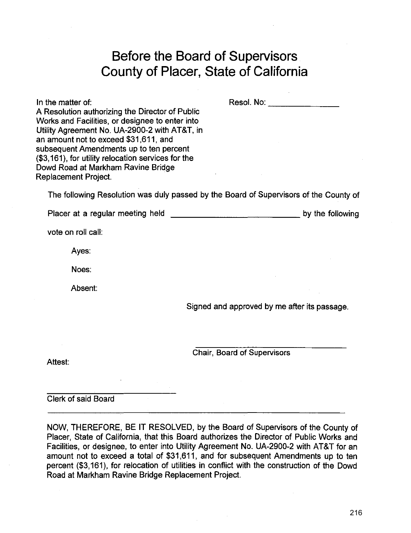# **Before the Board of Supervisors County of Placer, State of California**

In the matter of: A Resolution authorizing the Director of Public Works and Facilities, or designee to enter into Utility Agreement No. UA-2900-2 with AT&T, in an amount not to exceed \$31,611, and subsequent Amendments up to ten percent (\$3, 161), for utility relocation services for the Dowd Road at Markham Ravine Bridge Replacement Project. Resol. No: \_\_\_\_\_\_ \_ The following Resolution was duly passed by the Board of Supervisors of the County of Placer at a regular meeting held  $\Box$ vote on roll call: Ayes: Noes: Absent:

Signed and approved by me after its passage.

Chair, Board of Supervisors

Attest:

Clerk of said Board

NOW, THEREFORE, BE IT RESOLVED, by the Board of Supervisors of the County of Placer, State of California, that this Board authorizes the Director of Public Works and Facilities, or designee, to enter into Utility Agreement No. UA-2900-2 with AT&T for an amount not to exceed a total of \$31,611, and for subsequent Amendments up to ten percent (\$3, 161), for relocation of utilities in conflict with the construction of the Dowd Road at Markham Ravine Bridge Replacement Project.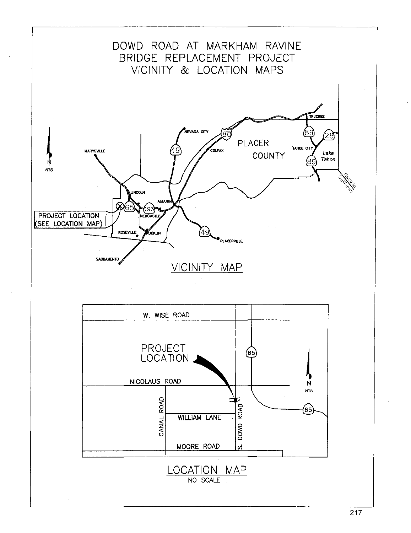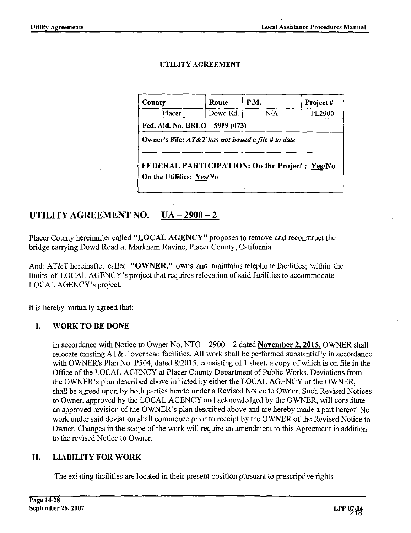### UTILITY AGREEMENT

| County                                             | Route    | P.M. | Project# |
|----------------------------------------------------|----------|------|----------|
| Placer                                             | Dowd Rd. | N/A  | PL2900   |
| Fed. Aid. No. BRLO – 5919 (073)                    |          |      |          |
| Owner's File: AT&T has not issued a file # to date |          |      |          |
|                                                    |          |      |          |

## UTILITY AGREEMENT NO. UA - 2900 - 2

Placer County hereinafter called "LOCAL AGENCY" proposes to remove and reconstruct the bridge carrying Dowd Road at Markham Ravine, Placer County, California.

And: AT&T hereinafter called "OWNER," owns and maintains telephone facilities; within the limits of LOCAL AGENCY's project that requires relocation of said facilities to accommodate LOCAL AGENCY's project.

It is hereby mutually agreed that:

## I. WORK TO BE DONE

In accordance with Notice to Owner No.  $NTO-2900-2$  dated **November 2, 2015.** OWNER shall relocate existing AT&T overhead facilities. All work shall be performed substantially in accordance with OWNER's Plan No. P504, dated 8/2015, consisting of 1 sheet, a copy of which is on file in the Office of the LOCAL AGENCY at Placer County Department of Public Works. Deviations from the OWNER's plan described above initiated by either the LOCAL AGENCY or the OWNER, shall be agreed upon by both parties hereto under a Revised Notice to Owner. Such Revised Notices to Owner, approved by the LOCAL AGENCY and acknowledged by the OWNER, will constitute an approved revision of the OWNER's plan described above and are hereby made a part hereof. No work under said deviation shall commence prior to receipt by the OWNER of the Revised Notice to Owner. Changes in the scope of the work will require an amendment to this Agreement in addition to the revised Notice to Owner.

## II. LIABILITY FOR WORK

The existing facilities are located in their present position pursuant to prescriptive rights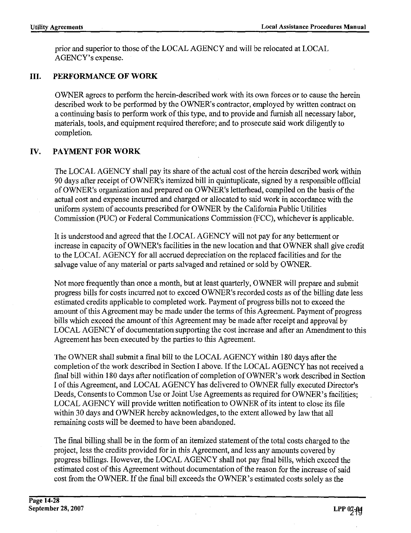prior and superior to those of the LOCAL AGENCY and will be relocated at LOCAL AGENCY's expense.

## **III. PERFORMANCE OF WORK**

OWNER agrees to perform the herein-described work with its own forces or to cause the herein described work to be performed by the OWNER's contractor, employed by written contract on a continuing basis to perform work of this type, and to provide and furnish all necessary labor, materials, tools, and equipment required therefore; and to prosecute said work diligently to completion.

## **IV. PAYMENT FOR WORK**

The LOCAL AGENCY shall pay its share of the actual cost of the herein described work within 90 days after receipt of 0 WNER's itemized bill in quintuplicate, signed by a responsible official of OWNER's organization and prepared on OWNER's letterhead, compiled on the basis of the actual cost and expense incurred and charged or allocated to said work in accordance with the uniform system of accounts prescribed for OWNER by the California Public Utilities Commission (PUC) or Federal Communications Commission (FCC), whichever is applicable.

It is understood and agreed that the LOCAL AGENCY will not pay for any betterment or increase in capacity of OWNER's facilities in the new location and that OWNER shall give credit to the LOCAL AGENCY for all accrued depreciation on the replaced facilities and for the salvage value of any material or parts salvaged and retained or sold by OWNER.

Not more frequently than once a month, but at least quarterly, OWNER will prepare and submit progress bills for costs incurred not to exceed OWNER's recorded costs as of the billing date less estimated credits applicable to completed work. Payment of progress bills not to exceed the amount of this Agreement may be made under the terms of this Agreement. Payment of progress bills which exceed the amount of this Agreement may be made after receipt and approval by LOCAL AGENCY of documentation supporting the cost increase and after an Amendment to this Agreement has been executed by the parties to this Agreement.

The OWNER shall submit a final bill to the LOCAL AGENCY within 180 days after the completion of the work described in Section I above. If the LOCAL AGENCY has not received a final bill within 180 days after notification of completion of OWNER's work described in Section I of this Agreement, and LOCAL AGENCY has delivered to OWNER fully executed Director's Deeds, Consents to Common Use or Joint Use Agreements as required for OWNER's facilities; LOCAL AGENCY will provide written notification to OWNER of its intent to close its file within 30 days and OWNER hereby acknowledges, to the extent allowed by law that all remaining costs will be deemed to have been abandoned.

The final billing shall be in the form of an itemized statement of the total costs charged to the project, less the credits provided for in this Agreement, and less any amounts covered by progress billings. However, the LOCAL AGENCY shall not pay final bills, which exceed the estimated cost of this Agreement without documentation of the reason for the increase of said cost from the OWNER. If the final bill exceeds the OWNER's estimated costs solely as the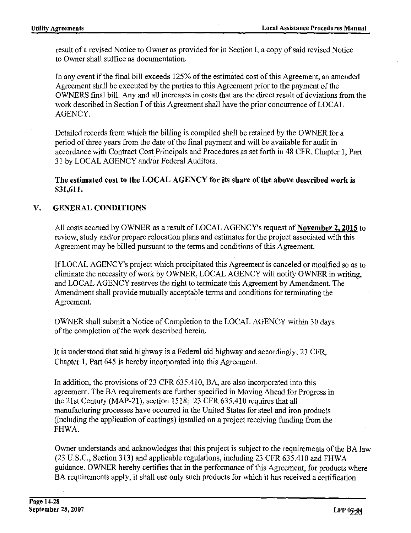result of a revised Notice to Owner as provided for in Section I, a copy of said revised Notice to Owner shall suffice as documentation.

In any event if the final bill exceeds 125% of the estimated cost of this Agreement, an amended Agreement shall be executed by the parties to this Agreement prior to the payment of the OWNERS final bill. Any and all increases in costs that are the direct result of deviations from the work described in Section I of this Agreement shall have the prior concurrence of LOCAL AGENCY.

Detailed records from which the billing is compiled shall be retained by the OWNER for a period of three years from the date of the final payment and will be available for audit in accordance with Contract Cost Principals and Procedures as set forth in 48 CFR, Chapter I, Part 31 by LOCAL AGENCY and/or Federal Auditors.

The estimated cost to the LOCAL AGENCY for its share of the above described work is \$31,611.

## V. GENERAL CONDITIONS

All costs accrued by OWNER as a result of LOCAL AGENCY's request of **November 2, 2015** to review, study and/or prepare relocation plans and estimates for the project associated with this Agreement may be billed pursuant to the terms and conditions of this Agreement.

If LOCAL AGENCY's project which precipitated this Agreement is canceled or modified so as to eliminate the necessity of work by OWNER, LOCAL AGENCY will notify OWNER in writing, and LOCAL AGENCY reserves the right to terminate this Agreement by Amendment. The Amendment shall provide mutually acceptable terms and conditions for terminating the Agreement.

OWNER shall submit a Notice of Completion to the LOCAL AGENCY within 30 days of the completion of the work described herein.

It is understood that said highway is a Federal aid highway and accordingly, 23 CFR, Chapter I, Part 645 is hereby incorporated into this Agreement.

In addition, the provisions of 23 CFR 635.410, BA, are also incorporated into this agreement. The BA requirements are further specified in Moving Ahead for Progress in the 21st Century (MAP-21), section 1518; 23 CFR 635.410 requires that all manufacturing processes have occurred in the United States for steel and iron products (including the application of coatings) installed on a project receiving funding from the FHWA.

Owner understands and acknowledges that this project is subject to the requirements of the BA law (23 U.S.C., Section 313) and applicable regulations, including 23 CFR 635.410 and FHWA guidance. 0 WNER hereby certifies that in the performance of this Agreement, for products where BA requirements apply, it shall use only such products for which it has received a certification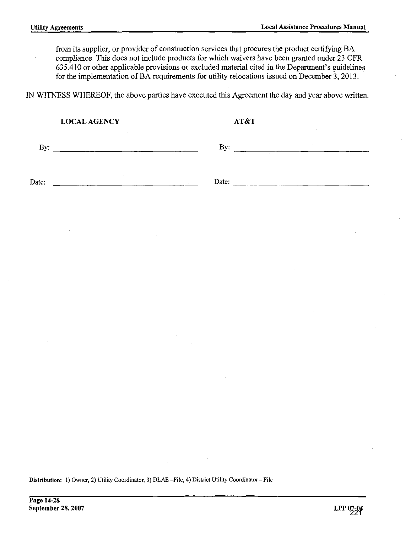from its supplier, or provider of construction services that procures the product certifying BA compliance. This does not include products for which waivers have been granted under 23 CFR 635.410 or other applicable provisions or excluded material cited in the Department's guidelines for the implementation of BA requirements for utility relocations issued on December  $3$ , 2013.

IN WITNESS WHEREOF, the above parties have executed this Agreement the day and year above written.

|               | <b>LOCAL AGENCY</b>                    |                          |                                                                                     | AT&T |                     |               |  |
|---------------|----------------------------------------|--------------------------|-------------------------------------------------------------------------------------|------|---------------------|---------------|--|
|               | and the company<br>By: $\qquad \qquad$ |                          |                                                                                     |      | By: $\qquad \qquad$ | $\mathcal{A}$ |  |
| Date:         |                                        | $\sim 10$                |                                                                                     |      |                     |               |  |
|               |                                        |                          | $\mathcal{L}^{\text{max}}_{\text{max}}$ and $\mathcal{L}^{\text{max}}_{\text{max}}$ |      |                     |               |  |
|               | $\sim 10$                              | <b>Contract Contract</b> |                                                                                     |      |                     |               |  |
|               |                                        |                          |                                                                                     |      | and the control of  |               |  |
|               |                                        |                          |                                                                                     |      |                     |               |  |
| $\sim$ $\sim$ | <b>Contractor</b>                      |                          |                                                                                     |      |                     |               |  |
|               |                                        |                          |                                                                                     |      |                     |               |  |
|               | $\sim$                                 |                          | $\sim$                                                                              |      |                     |               |  |

Distribution: I) Owner, 2) Utility Coordinator, 3) DLAE -File, 4) District Utility Coordinator- File